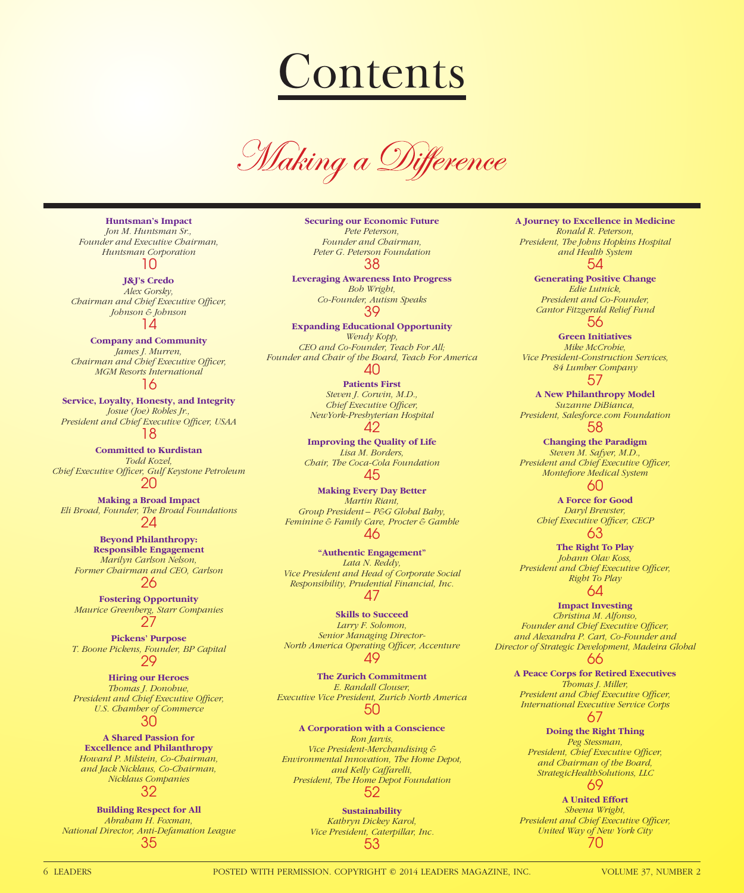# **Contents**

Making a Difference

**Huntsman's Impact** *Jon M. Huntsman Sr., Founder and Executive Chairman, Huntsman Corporation* 10

**J&J's Credo** *Alex Gorsky, Chairman and Chief Executive Officer,* 

*Johnson & Johnson* 14

### **Company and Community** *James J. Murren, Chairman and Chief Executive Officer, MGM Resorts International* 16

**Service, Loyalty, Honesty, and Integrity** *Josue (Joe) Robles Jr.,*  President and Chief Executive Officer, USAA 18

**Committed to Kurdistan** *Todd Kozel,*  **Chief Executive Officer, Gulf Keystone Petroleum** 20

**Making a Broad Impact** *Eli Broad, Founder, The Broad Foundations* 24

**Beyond Philanthropy: Responsible Engagement** *Marilyn Carlson Nelson, Former Chairman and CEO, Carlson*

26

**Fostering Opportunity** *Maurice Greenberg, Starr Companies* 27

**Pickens' Purpose** *T. Boone Pickens, Founder, BP Capital* 29

**Hiring our Heroes** *Thomas J. Donohue,*  **President and Chief Executive Officer,** *U.S. Chamber of Commerce* 30

**A Shared Passion for Excellence and Philanthropy** *Howard P. Milstein, Co-Chairman, and Jack Nicklaus, Co-Chairman, Nicklaus Companies* 32

**Building Respect for All** *Abraham H. Foxman, National Director, Anti-Defamation League* 35

**Securing our Economic Future** *Pete Peterson, Founder and Chairman, Peter G. Peterson Foundation* 38

**Leveraging Awareness Into Progress** *Bob Wright, Co-Founder, Autism Speaks* 39

**Expanding Educational Opportunity** *Wendy Kopp, CEO and Co-Founder, Teach For All; Founder and Chair of the Board, Teach For America* 40

**Patients First** *Steven J. Corwin, M.D., Chief Executive Officer, NewYork-Presbyterian Hospital* 42

**Improving the Quality of Life** *Lisa M. Borders, Chair, The Coca-Cola Foundation* 45

**Making Every Day Better** *Martin Riant, Group President – P&G Global Baby, Feminine & Family Care, Procter & Gamble* 46

**"Authentic Engagement"** *Lata N. Reddy, Vice President and Head of Corporate Social Responsibility, Prudential Financial, Inc.* 47

**Skills to Succeed** *Larry F. Solomon, Senior Managing Director-North America Operating Officer, Accenture* 49

**The Zurich Commitment** *E. Randall Clouser, Executive Vice President, Zurich North America* 50

**A Corporation with a Conscience** *Ron Jarvis, Vice President-Merchandising & Environmental Innovation, The Home Depot, and Kelly Caffarelli, President, The Home Depot Foundation* 52

> **Sustainability** *Kathryn Dickey Karol, Vice President, Caterpillar, Inc.* 53

**A Journey to Excellence in Medicine** *Ronald R. Peterson, President, The Johns Hopkins Hospital and Health System* 54

**Generating Positive Change** *Edie Lutnick, President and Co-Founder, Cantor Fitzgerald Relief Fund* 56

**Green Initiatives** *Mike McCrobie, Vice President-Construction Services, 84 Lumber Company* 57

**A New Philanthropy Model** *Suzanne DiBianca, President, Salesforce.com Foundation* 58

**Changing the Paradigm** *Steven M. Safyer, M.D., President and Chief Executive Officer, Montefiore Medical System* 60

> **A Force for Good** *Daryl Brewster, Chief Executive Officer, CECP* 63

**The Right To Play** *Johann Olav Koss,*  **President and Chief Executive Officer,** *Right To Play*

64

**Impact Investing** *Christina M. Alfonso,*  Founder and Chief Executive Officer, *and Alexandra P. Cart, Co-Founder and Director of Strategic Development, Madeira Global* 66

**A Peace Corps for Retired Executives** *Thomas J. Miller,*  **President and Chief Executive Officer,** *International Executive Service Corps* 67

**Doing the Right Thing** *Peg Stessman, President, Chief Executive Officer, and Chairman of the Board, StrategicHealthSolutions, LLC* 69

**A United Effort** *Sheena Wright, President and Chief Executive Officer, United Way of New York City* 70